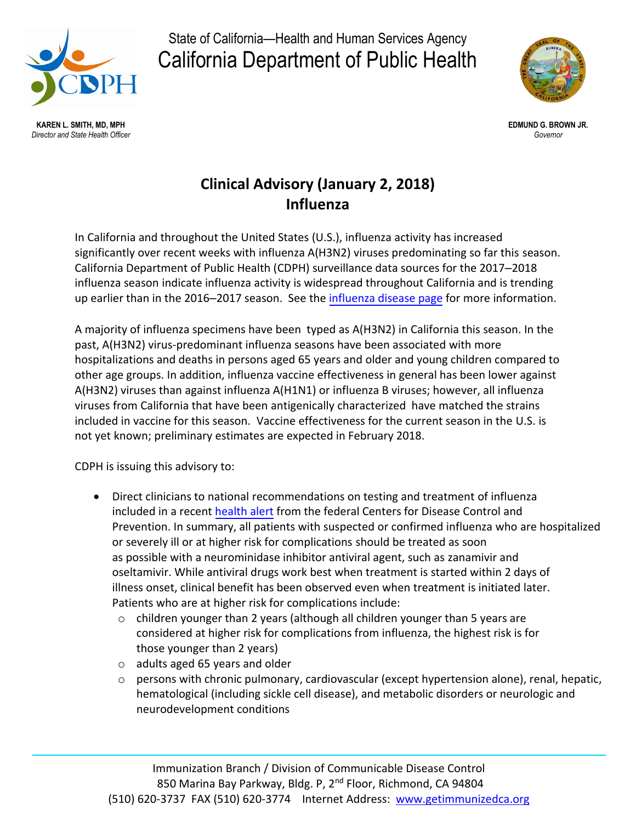

State of California—Health and Human Services Agency California Department of Public Health



 **KAREN L. SMITH, MD, MPH EDMUND G. BROWN JR.**   *Director and State Health Officer Governor* 

## **Influenza Clinical Advisory (January 2, 2018)**

 In California and throughout the United States (U.S.), influenza activity has increased significantly over recent weeks with influenza A(H3N2) viruses predominating so far this season. California Department of Public Health (CDPH) surveillance data sources for the 2017–2018 influenza season indicate influenza activity is widespread throughout California and is trending up earlier than in the 2016–2017 season. See the *influenza disease page* for more information.

 A majority of influenza specimens have been typed as A(H3N2) in California this season. In the hospitalizations and deaths in persons aged 65 years and older and young children compared to other age groups. In addition, influenza vaccine effectiveness in general has been lower against A(H3N2) viruses than against influenza A(H1N1) or influenza B viruses; however, all influenza viruses from California that have been antigenically characterized have matched the strains included in vaccine for this season. Vaccine effectiveness for the current season in the U.S. is not yet known; preliminary estimates are expected in February 2018. past, A(H3N2) virus-predominant influenza seasons have been associated with more

CDPH is issuing this advisory to:

- • Direct clinicians to national recommendations on testing and treatment of influenza included in a recent health a[lert](https://emergency.cdc.gov/han/han00409.asp) from the federal Centers for Disease Control and Prevention. In summary, all patients with suspected or confirmed influenza who are hospitalized or severely ill or at higher risk for complications should be treated as soon as possible with a neurominidase inhibitor antiviral agent, such as zanamivir and oseltamivir. While antiviral drugs work best when treatment is started within 2 days of illness onset, clinical benefit has been observed even when treatment is initiated later. Patients who are at higher risk for complications include:
	- o children younger than 2 years (although all children younger than 5 years are considered at higher risk for complications from influenza, the highest risk is for those younger than 2 years)
	- o adults aged 65 years and older
	- o persons with chronic pulmonary, cardiovascular (except hypertension alone), renal, hepatic, hematological (including sickle cell disease), and metabolic disorders or neurologic and neurodevelopment conditions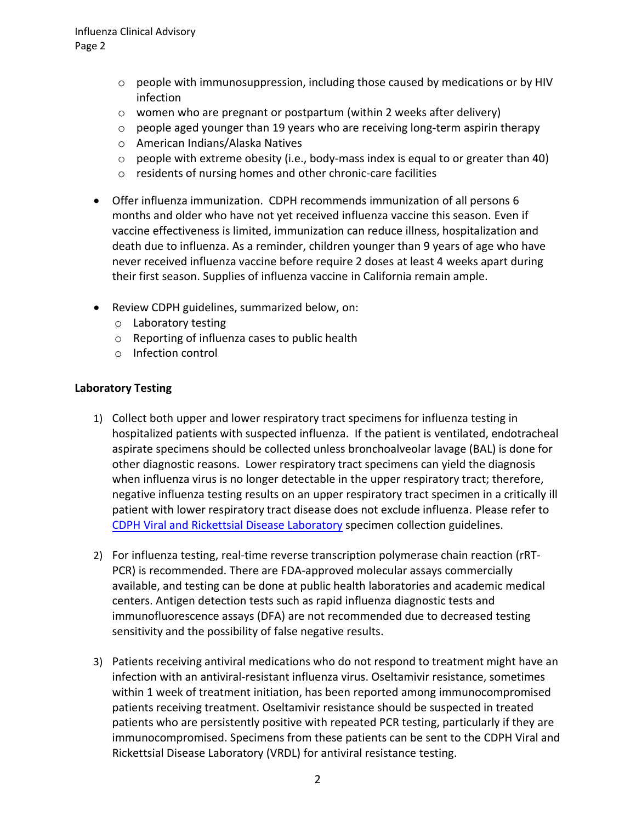- $\circ$  people with immunosuppression, including those caused by medications or by HIV infection
- o women who are pregnant or postpartum (within 2 weeks after delivery)
- $\circ$  people aged younger than 19 years who are receiving long-term aspirin therapy
- o American Indians/Alaska Natives
- $\circ$  people with extreme obesity (i.e., body-mass index is equal to or greater than 40)
- o residents of nursing homes and other chronic-care facilities
- • Offer influenza immunization. CDPH recommends immunization of all persons 6 months and older who have not yet received influenza vaccine this season. Even if vaccine effectiveness is limited, immunization can reduce illness, hospitalization and death due to influenza. As a reminder, children younger than 9 years of age who have never received influenza vaccine before require 2 doses at least 4 weeks apart during their first season. Supplies of influenza vaccine in California remain ample.
- Review CDPH guidelines, summarized below, on:
	- o Laboratory testing
	- o Reporting of influenza cases to public health
	- o Infection control

## **Laboratory Testing**

- 1) Collect both upper and lower respiratory tract specimens for influenza testing in hospitalized patients with suspected influenza. If the patient is ventilated, endotracheal other diagnostic reasons. Lower respiratory tract specimens can yield the diagnosis when influenza virus is no longer detectable in the upper respiratory tract; therefore, negative influenza testing results on an upper respiratory tract specimen in a critically ill patient with lower respiratory tract disease does not exclude influenza. Please refer to [CDPH Viral and Rickettsial Disease Laboratory](https://www.cdph.ca.gov/Programs/CID/DCDC/CDPH%20Document%20Library/VRDL_Influenza_Info.pdf) specimen collection guidelines. aspirate specimens should be collected unless bronchoalveolar lavage (BAL) is done for
- PCR) is recommended. There are FDA-approved molecular assays commercially available, and testing can be done at public health laboratories and academic medical centers. Antigen detection tests such as rapid influenza diagnostic tests and immunofluorescence assays (DFA) are not recommended due to decreased testing sensitivity and the possibility of false negative results. 2) For influenza testing, real-time reverse transcription polymerase chain reaction (rRT-
- 3) Patients receiving antiviral medications who do not respond to treatment might have an infection with an antiviral-resistant influenza virus. Oseltamivir resistance, sometimes within 1 week of treatment initiation, has been reported among immunocompromised patients receiving treatment. Oseltamivir resistance should be suspected in treated patients who are persistently positive with repeated PCR testing, particularly if they are immunocompromised. Specimens from these patients can be sent to the CDPH Viral and Rickettsial Disease Laboratory (VRDL) for antiviral resistance testing.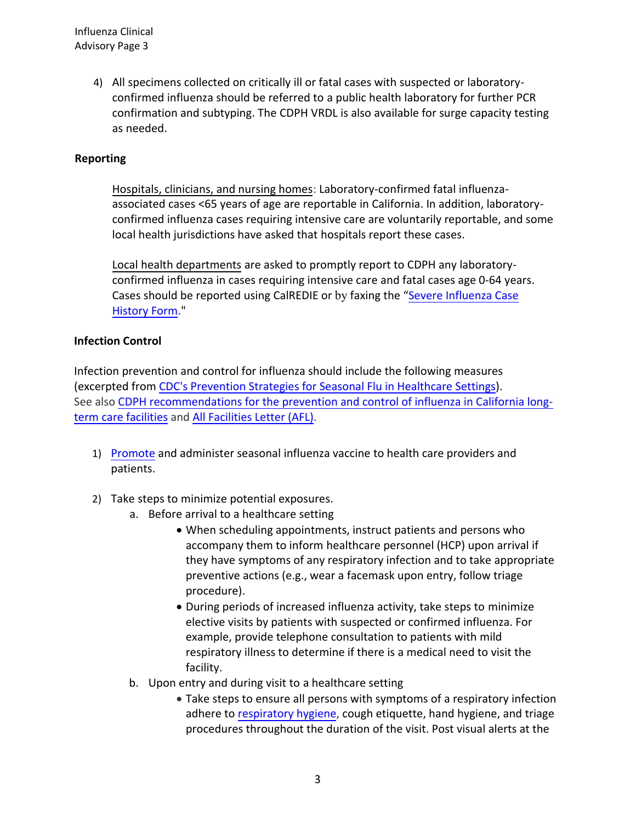Influenza Clinical Advisory Page 3

> 4) All specimens collected on critically ill or fatal cases with suspected or laboratory- confirmed influenza should be referred to a public health laboratory for further PCR confirmation and subtyping. The CDPH VRDL is also available for surge capacity testing as needed.

## **Reporting**

Hospitals, clinicians, and nursing homes: Laboratory-confirmed fatal influenza- associated cases <65 years of age are reportable in California. In addition, laboratory- confirmed influenza cases requiring intensive care are voluntarily reportable, and some local health jurisdictions have asked that hospitals report these cases.

 Local health departments are asked to promptly report to CDPH any laboratory- confirmed influenza in cases requiring intensive care and fatal cases age 0-64 years. Cases should be reported using CalREDIE or by faxing the "Severe Influenza Case [Histor](https://www.cdph.ca.gov/CDPH%20Document%20Library/ControlledForms/cdph9070.pdf)y Form.

## **Infection Control**

 (excerpted from [CDC's Prevention Strategies for Seasonal Flu in Healthcare Settings](https://www.cdc.gov/flu/professionals/infectioncontrol/healthcaresettings.htm)). See also [CDPH recommendations for the prevention and control of influenza in California long-](https://www.cdph.ca.gov/Programs/CHCQ/HAI/CDPH Document Library/RecommendationsForThePreventionAndControlOfInfluenzaOct2016.pdf)Infection prevention and control for influenza should include the following measures term care facilities and [All Facilities Letter \(AFL\)](https://www.cdph.ca.gov/Programs/CHCQ/LCP/Pages/AFL-17-02.aspx).

- 1) [Promote](https://www.cdc.gov/flu/professionals/vaccination/index.htm) [and admi](https://www.cdc.gov/flu/professionals/infectioncontrol/longtermcare.htm)nister seasonal influenza vaccine to health care providers and patients.
- 2) Take step[s to minimize potential exposures.](https://www.cdc.gov/flu/professionals/vaccination/index.htm)
	- a. Before arrival to a healthcare setting
		- When scheduling appointments, instruct patients and persons who accompany them to inform healthcare personnel (HCP) upon arrival if they have symptoms of any respiratory infection and to take appropriate j preventive actions (e.g., wear a facemask upon entry, follow triage procedure).
		- elective visits by patients with suspected or confirmed influenza. For example, provide telephone consultation to patients with mild • During periods of increased influenza activity, take steps to minimize respiratory illness to determine if there is a medical need to visit the facility.
	- b. Upon entry and during visit to a healthcare setting
		- Take steps to ensure all persons with symptoms of a respiratory infection adhere to r[espiratory hygiene,](https://www.cdc.gov/flu/professionals/infectioncontrol/resphygiene.htm) cough etiquette, hand hygiene, and triage .<br>t procedures throughout the duration of the visit. Post visual alerts at the